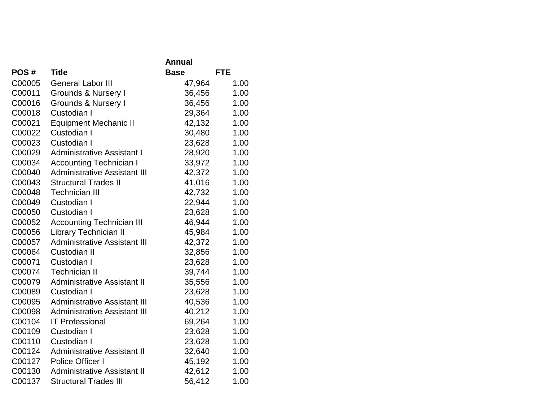|        |                                     | Annual      |            |
|--------|-------------------------------------|-------------|------------|
| POS#   | <b>Title</b>                        | <b>Base</b> | <b>FTE</b> |
| C00005 | <b>General Labor III</b>            | 47,964      | 1.00       |
| C00011 | <b>Grounds &amp; Nursery I</b>      | 36,456      | 1.00       |
| C00016 | Grounds & Nursery I                 | 36,456      | 1.00       |
| C00018 | Custodian I                         | 29,364      | 1.00       |
| C00021 | <b>Equipment Mechanic II</b>        | 42,132      | 1.00       |
| C00022 | Custodian I                         | 30,480      | 1.00       |
| C00023 | Custodian I                         | 23,628      | 1.00       |
| C00029 | <b>Administrative Assistant I</b>   | 28,920      | 1.00       |
| C00034 | <b>Accounting Technician I</b>      | 33,972      | 1.00       |
| C00040 | <b>Administrative Assistant III</b> | 42,372      | 1.00       |
| C00043 | <b>Structural Trades II</b>         | 41,016      | 1.00       |
| C00048 | <b>Technician III</b>               | 42,732      | 1.00       |
| C00049 | Custodian I                         | 22,944      | 1.00       |
| C00050 | Custodian I                         | 23,628      | 1.00       |
| C00052 | <b>Accounting Technician III</b>    | 46,944      | 1.00       |
| C00056 | <b>Library Technician II</b>        | 45,984      | 1.00       |
| C00057 | <b>Administrative Assistant III</b> | 42,372      | 1.00       |
| C00064 | <b>Custodian II</b>                 | 32,856      | 1.00       |
| C00071 | Custodian I                         | 23,628      | 1.00       |
| C00074 | <b>Technician II</b>                | 39,744      | 1.00       |
| C00079 | <b>Administrative Assistant II</b>  | 35,556      | 1.00       |
| C00089 | Custodian I                         | 23,628      | 1.00       |
| C00095 | <b>Administrative Assistant III</b> | 40,536      | 1.00       |
| C00098 | <b>Administrative Assistant III</b> | 40,212      | 1.00       |
| C00104 | <b>IT Professional</b>              | 69,264      | 1.00       |
| C00109 | Custodian I                         | 23,628      | 1.00       |
| C00110 | Custodian I                         | 23,628      | 1.00       |
| C00124 | <b>Administrative Assistant II</b>  | 32,640      | 1.00       |
| C00127 | Police Officer I                    | 45,192      | 1.00       |
| C00130 | <b>Administrative Assistant II</b>  | 42,612      | 1.00       |
| C00137 | <b>Structural Trades III</b>        | 56,412      | 1.00       |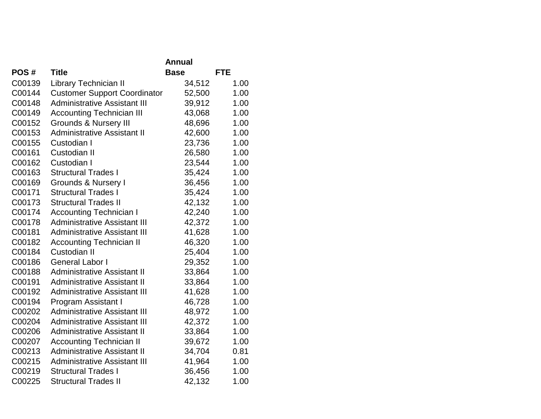|        |                                     | Annual      |            |
|--------|-------------------------------------|-------------|------------|
| POS#   | <b>Title</b>                        | <b>Base</b> | <b>FTE</b> |
| C00139 | Library Technician II               | 34,512      | 1.00       |
| C00144 | <b>Customer Support Coordinator</b> | 52,500      | 1.00       |
| C00148 | <b>Administrative Assistant III</b> | 39,912      | 1.00       |
| C00149 | <b>Accounting Technician III</b>    | 43,068      | 1.00       |
| C00152 | <b>Grounds &amp; Nursery III</b>    | 48,696      | 1.00       |
| C00153 | <b>Administrative Assistant II</b>  | 42,600      | 1.00       |
| C00155 | Custodian I                         | 23,736      | 1.00       |
| C00161 | Custodian II                        | 26,580      | 1.00       |
| C00162 | Custodian I                         | 23,544      | 1.00       |
| C00163 | <b>Structural Trades I</b>          | 35,424      | 1.00       |
| C00169 | <b>Grounds &amp; Nursery I</b>      | 36,456      | 1.00       |
| C00171 | <b>Structural Trades I</b>          | 35,424      | 1.00       |
| C00173 | <b>Structural Trades II</b>         | 42,132      | 1.00       |
| C00174 | <b>Accounting Technician I</b>      | 42,240      | 1.00       |
| C00178 | <b>Administrative Assistant III</b> | 42,372      | 1.00       |
| C00181 | <b>Administrative Assistant III</b> | 41,628      | 1.00       |
| C00182 | <b>Accounting Technician II</b>     | 46,320      | 1.00       |
| C00184 | <b>Custodian II</b>                 | 25,404      | 1.00       |
| C00186 | <b>General Labor I</b>              | 29,352      | 1.00       |
| C00188 | <b>Administrative Assistant II</b>  | 33,864      | 1.00       |
| C00191 | <b>Administrative Assistant II</b>  | 33,864      | 1.00       |
| C00192 | <b>Administrative Assistant III</b> | 41,628      | 1.00       |
| C00194 | Program Assistant I                 | 46,728      | 1.00       |
| C00202 | <b>Administrative Assistant III</b> | 48,972      | 1.00       |
| C00204 | <b>Administrative Assistant III</b> | 42,372      | 1.00       |
| C00206 | <b>Administrative Assistant II</b>  | 33,864      | 1.00       |
| C00207 | <b>Accounting Technician II</b>     | 39,672      | 1.00       |
| C00213 | <b>Administrative Assistant II</b>  | 34,704      | 0.81       |
| C00215 | <b>Administrative Assistant III</b> | 41,964      | 1.00       |
| C00219 | <b>Structural Trades I</b>          | 36,456      | 1.00       |
| C00225 | <b>Structural Trades II</b>         | 42,132      | 1.00       |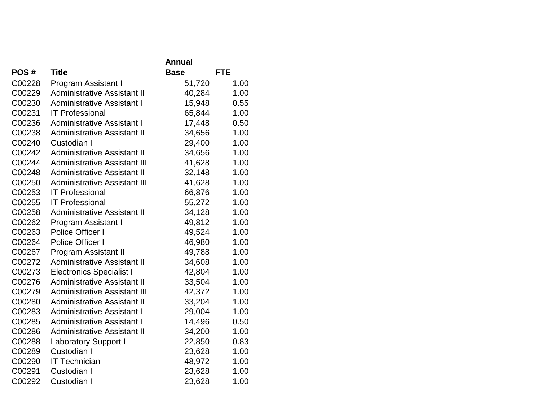|        |                                     | Annual      |            |
|--------|-------------------------------------|-------------|------------|
| POS#   | <b>Title</b>                        | <b>Base</b> | <b>FTE</b> |
| C00228 | Program Assistant I                 | 51,720      | 1.00       |
| C00229 | <b>Administrative Assistant II</b>  | 40,284      | 1.00       |
| C00230 | <b>Administrative Assistant I</b>   | 15,948      | 0.55       |
| C00231 | <b>IT Professional</b>              | 65,844      | 1.00       |
| C00236 | <b>Administrative Assistant I</b>   | 17,448      | 0.50       |
| C00238 | <b>Administrative Assistant II</b>  | 34,656      | 1.00       |
| C00240 | Custodian I                         | 29,400      | 1.00       |
| C00242 | <b>Administrative Assistant II</b>  | 34,656      | 1.00       |
| C00244 | <b>Administrative Assistant III</b> | 41,628      | 1.00       |
| C00248 | <b>Administrative Assistant II</b>  | 32,148      | 1.00       |
| C00250 | <b>Administrative Assistant III</b> | 41,628      | 1.00       |
| C00253 | <b>IT Professional</b>              | 66,876      | 1.00       |
| C00255 | <b>IT Professional</b>              | 55,272      | 1.00       |
| C00258 | <b>Administrative Assistant II</b>  | 34,128      | 1.00       |
| C00262 | Program Assistant I                 | 49,812      | 1.00       |
| C00263 | Police Officer I                    | 49,524      | 1.00       |
| C00264 | Police Officer I                    | 46,980      | 1.00       |
| C00267 | <b>Program Assistant II</b>         | 49,788      | 1.00       |
| C00272 | <b>Administrative Assistant II</b>  | 34,608      | 1.00       |
| C00273 | <b>Electronics Specialist I</b>     | 42,804      | 1.00       |
| C00276 | <b>Administrative Assistant II</b>  | 33,504      | 1.00       |
| C00279 | <b>Administrative Assistant III</b> | 42,372      | 1.00       |
| C00280 | <b>Administrative Assistant II</b>  | 33,204      | 1.00       |
| C00283 | <b>Administrative Assistant I</b>   | 29,004      | 1.00       |
| C00285 | <b>Administrative Assistant I</b>   | 14,496      | 0.50       |
| C00286 | <b>Administrative Assistant II</b>  | 34,200      | 1.00       |
| C00288 | <b>Laboratory Support I</b>         | 22,850      | 0.83       |
| C00289 | Custodian I                         | 23,628      | 1.00       |
| C00290 | <b>IT Technician</b>                | 48,972      | 1.00       |
| C00291 | Custodian I                         | 23,628      | 1.00       |
| C00292 | Custodian I                         | 23,628      | 1.00       |